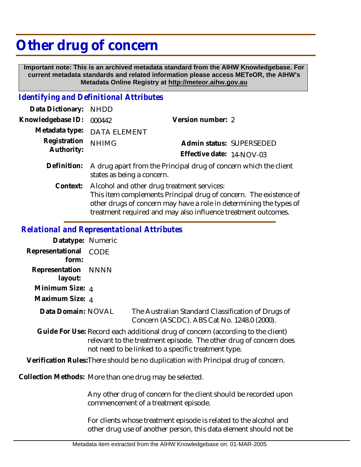## **Other drug of concern**

 **Important note: This is an archived metadata standard from the AIHW Knowledgebase. For current metadata standards and related information please access METeOR, the AIHW's Metadata Online Registry at http://meteor.aihw.gov.au**

## *Identifying and Definitional Attributes*

| Data Dictionary: NHDD      |                                                                                                                 |                           |                          |
|----------------------------|-----------------------------------------------------------------------------------------------------------------|---------------------------|--------------------------|
| Knowledgebase ID:          | 000442                                                                                                          | Version number: 2         |                          |
|                            | Metadata type: DATA ELEMENT                                                                                     |                           |                          |
| Registration<br>Authority: | <b>NHIMG</b>                                                                                                    |                           | Admin status: SUPERSEDED |
|                            |                                                                                                                 | Effective date: 14-NOV-03 |                          |
| Definition:                | A drug apart from the Principal drug of concern which the client<br>states as being a concern.                  |                           |                          |
| Context:                   | Alcohol and other drug treatment services:<br>This item complements Principal drug of concern. The existence of |                           |                          |

## *Relational and Representational Attributes*

| Datatype: Numeric              |      |
|--------------------------------|------|
| Representational<br>form:      | CODE |
| Representation NNNN<br>layout: |      |
| Minimum Size: 4                |      |
| Maximum Size: 4                |      |
| Data Domain: NOVAL             |      |

The Australian Standard Classification of Drugs of Concern (ASCDC). ABS Cat No. 1248.0 (2000).

other drugs of concern may have a role in determining the types of treatment required and may also influence treatment outcomes.

Guide For Use: Record each additional drug of concern (according to the client) relevant to the treatment episode. The other drug of concern does not need to be linked to a specific treatment type.

**Verification Rules:**There should be no duplication with Principal drug of concern.

Collection Methods: More than one drug may be selected.

Any other drug of concern for the client should be recorded upon commencement of a treatment episode.

For clients whose treatment episode is related to the alcohol and other drug use of another person, this data element should not be